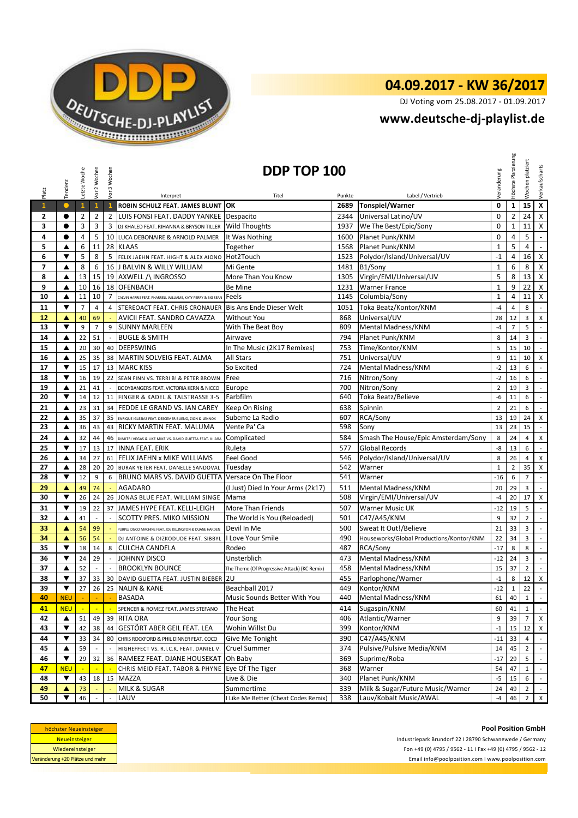

## **04.09.2017 - KW 36/2017**

DJ Voting vom 25.08.2017 - 01.09.2017

## **<www.deutsche-dj-playlist.de>**

|                | Tendenz    | Letzte Woche    | Vor 2 Wochen   | Vor 3 Wochen   | DDP TOP 100                                                  |                                              |        |                                          |                | Höchste Platzierung | platziert<br>Wochen | Verkaufscharts              |
|----------------|------------|-----------------|----------------|----------------|--------------------------------------------------------------|----------------------------------------------|--------|------------------------------------------|----------------|---------------------|---------------------|-----------------------------|
| Platz          |            |                 |                |                | Interpret                                                    | Titel                                        | Punkte | Label / Vertrieb                         | Veränderung    |                     |                     |                             |
| $\mathbf{1}$   | $\bullet$  | $\mathbf{1}$    | $\mathbf{1}$   | $\mathbf{1}$   | <b>ROBIN SCHULZ FEAT. JAMES BLUNT OK</b>                     |                                              | 2689   | Tonspiel/Warner                          | $\mathbf 0$    | $\mathbf{1}$        | 15                  | $\pmb{\mathsf{x}}$          |
| 2              |            | $\overline{2}$  | $\overline{2}$ | 2              | LUIS FONSI FEAT. DADDY YANKEE Despacito                      |                                              | 2344   | Universal Latino/UV                      | $\mathbf 0$    | $\overline{2}$      | 24                  | X                           |
| 3              | $\bullet$  | 3               | 3              | 3              | DJ KHALED FEAT. RIHANNA & BRYSON TILLER                      | <b>Wild Thoughts</b>                         | 1937   | We The Best/Epic/Sony                    | $\mathbf 0$    | $\mathbf 1$         | 11                  | Χ                           |
| 4              | $\bullet$  | 4               | 5              |                | 10 LUCA DEBONAIRE & ARNOLD PALMER                            | It Was Nothing                               | 1600   | Planet Punk/KNM                          | $\mathbf 0$    | 4                   | 5                   | $\blacksquare$              |
| 5              | ▲          | 6               | 11             |                | 28 KLAAS                                                     | Together                                     | 1568   | Planet Punk/KNM                          | $\mathbf{1}$   | 5                   | 4                   | $\omega$                    |
| 6              | ▼          | 5               | 8              | 5              | FELIX JAEHN FEAT. HIGHT & ALEX AIONO                         | Hot2Touch                                    | 1523   | Polydor/Island/Universal/UV              | $-1$           | 4                   | 16                  | $\mathsf{X}$                |
| $\overline{ }$ | ▲          | 8               | 6              |                | 16 J BALVIN & WILLY WILLIAM                                  | Mi Gente                                     | 1481   | B1/Sony                                  | $\mathbf{1}$   | 6                   | 8                   | X                           |
| 8              | ▲          | 13              | 15             |                | 19 AXWELL / INGROSSO                                         | More Than You Know                           | 1305   | Virgin/EMI/Universal/UV                  | 5              | 8                   | 13                  | $\mathsf{X}$                |
| 9              | ▲          | 10              | 16             | 18             | <b>OFENBACH</b>                                              | Be Mine                                      | 1231   | <b>Warner France</b>                     | $\mathbf{1}$   | 9                   | 22                  | X                           |
| 10             | ▲          | 11              | 10             | $\overline{7}$ | CALVIN HARRIS FEAT. PHARRELL WILLIAMS, KATY PERRY & BIG SEAN | Feels                                        | 1145   | Columbia/Sony                            | $\mathbf{1}$   | 4                   | 11                  | $\mathsf{X}$                |
| 11             | ▼          | $\overline{7}$  | $\overline{4}$ | $\overline{a}$ | STEREOACT FEAT. CHRIS CRONAUER Bis Ans Ende Dieser Welt      |                                              | 1051   | Toka Beatz/Kontor/KNM                    | $-4$           | $\overline{4}$      | 8                   | $\mathbb{L}$                |
| 12             | ▲          | 40              | 69             |                | AVICII FEAT. SANDRO CAVAZZA                                  | <b>Without You</b>                           | 868    | Universal/UV                             | 28             | 12                  | 3                   | X                           |
| 13             | ▼          | 9               | $\overline{7}$ | 9              | <b>SUNNY MARLEEN</b>                                         | With The Beat Boy                            | 809    | Mental Madness/KNM                       | $-4$           | $\overline{7}$      | 5                   | $\overline{\phantom{a}}$    |
| 14             | ▲          | 22              | 51             | $\sim$         | <b>BUGLE &amp; SMITH</b>                                     | Airwave                                      | 794    | Planet Punk/KNM                          | 8              | 14                  | 3                   | $\mathbb{L}$                |
| 15             | ▲          | 20              | 30             |                | 40 DEEPSWING                                                 | In The Music (2K17 Remixes)                  | 753    | Time/Kontor/KNM                          | 5              | 15                  | 10                  | $\overline{\phantom{a}}$    |
| 16             | ▲          | 25              | 35             |                | 38 MARTIN SOLVEIG FEAT. ALMA                                 | All Stars                                    | 751    | Universal/UV                             | 9              | 11                  | 10                  | $\mathsf X$                 |
| 17             | ▼          | 15              | 17             | 13             | <b>MARC KISS</b>                                             | So Excited                                   | 724    | Mental Madness/KNM                       | $-2$           | 13                  | 6                   | $\blacksquare$              |
| 18             | ▼          | 16              | 19             | 22             | SEAN FINN VS. TERRI B! & PETER BROWN                         | Free                                         | 716    | Nitron/Sony                              | $-2$           | 16                  | 6                   | $\mathcal{L}_{\mathcal{A}}$ |
| 19             | ▲          | 21              | 41             |                | BODYBANGERS FEAT. VICTORIA KERN & NICCO                      | Europe                                       | 700    | Nitron/Sony                              | $\overline{2}$ | 19                  | 3                   | $\blacksquare$              |
| 20             | ▼          | 14              | 12             | 11             | FINGER & KADEL & TALSTRASSE 3-5                              | Farbfilm                                     | 640    | <b>Toka Beatz/Believe</b>                | -6             | 11                  | 6                   | $\omega$                    |
| 21             | ▲          | 23              | 31             | 34             | FEDDE LE GRAND VS. IAN CAREY                                 | Keep On Rising                               | 638    | Spinnin                                  | $\overline{2}$ | 21                  | 6                   | $\mathbb{L}$                |
| 22             | ▲          | 35              | 37             | 35             | ENRIQUE IGLESIAS FEAT. DESCEMER BUENO, ZION & LENNOX         | Subeme La Radio                              | 607    | RCA/Sony                                 | 13             | 19                  | 24                  | X                           |
| 23             | ▲          | 36              | 43             | 43             | RICKY MARTIN FEAT, MALUMA                                    | Vente Pa' Ca                                 | 598    | Sonv                                     | 13             | 23                  | 15                  | $\mathbb{Z}^2$              |
| 24             | ▲          | 32              | 44             | 46             | DIMITRI VEGAS & LIKE MIKE VS. DAVID GUETTA FEAT. KIIARA      | Complicated                                  | 584    | Smash The House/Epic Amsterdam/Sony      | 8              | 24                  | 4                   | X                           |
| 25             | ▼          | 17              | 13             |                | 17 INNA FEAT. ERIK                                           | Ruleta                                       | 577    | <b>Global Records</b>                    | -8             | 13                  | 6                   | $\blacksquare$              |
| 26             | ▲          | 34              | 27             | 61             | <b>FELIX JAEHN x MIKE WILLIAMS</b>                           | Feel Good                                    | 546    | Polydor/Island/Universal/UV              | 8              | 26                  | $\overline{4}$      | X                           |
| 27             | ▲          | 28              | 20             | 20             | BURAK YETER FEAT. DANELLE SANDOVAL                           | Tuesday                                      | 542    | Warner                                   | $\mathbf{1}$   | $\overline{2}$      | 35                  | X                           |
| 28             | ▼          | 12              | 9              | 6              | BRUNO MARS VS. DAVID GUETTA                                  | Versace On The Floor                         | 541    | Warner                                   | $-16$          | 6                   | $\overline{7}$      | $\blacksquare$              |
| 29             | ▲          | 49              | 74             | ÷.             | AGADARO                                                      | (I Just) Died In Your Arms (2k17)            | 511    | Mental Madness/KNM                       | 20             | 29                  | 3                   | $\blacksquare$              |
| 30             | ▼          | 26              | 24             | 26             | JONAS BLUE FEAT. WILLIAM SINGE                               | Mama                                         | 508    | Virgin/EMI/Universal/UV                  | $-4$           | 20                  | 17                  | X                           |
| 31             | ▼          | 19              | 22             | 37             | JAMES HYPE FEAT. KELLI-LEIGH                                 | More Than Friends                            | 507    | <b>Warner Music UK</b>                   | $-12$          | 19                  | 5                   | $\mathbb{Z}^{\mathbb{Z}}$   |
| 32             | ▲          | 41              |                |                | SCOTTY PRES. MIKO MISSION                                    | The World is You (Reloaded)                  | 501    | C47/A45/KNM                              | 9              | 32                  | $\overline{2}$      | $\overline{\phantom{a}}$    |
| 33             | ▲          | 54              | 99             |                | PURPLE DISCO MACHINE FEAT. JOE KILLINGTON & DUANE HARDEN     | Devil In Me                                  | 500    | Sweat It Out!/Believe                    | 21             | 33                  | 3                   | $\mathbb{R}^2$              |
| 34             | ▲          | 56              | 54             |                | DJ ANTOINE & DIZKODUDE FEAT. SIBBYL                          | I Love Your Smile                            | 490    | Houseworks/Global Productions/Kontor/KNM | 22             | 34                  | 3                   | $\mathbb{Z}^{\mathbb{Z}}$   |
| 35             | ▼          | 18              | 14             | 8              | <b>CULCHA CANDELA</b>                                        | Rodeo                                        | 487    | RCA/Sony                                 | $-17$          | 8                   | 8                   | $\overline{\phantom{a}}$    |
| 36             | ▼          | 24              | 29             | $\sim$         | JOHNNY DISCO                                                 | Unsterblich                                  | 473    | Mental Madness/KNM                       | $-12$          | 24                  | 3                   | $\overline{\phantom{a}}$    |
| 37             | ▲          | 52              |                |                | <b>BROOKLYN BOUNCE</b>                                       | The Theme (Of Progressive Attack) (KC Remix) | 458    | Mental Madness/KNM                       | 15             | 37                  | $\overline{2}$      | $\sim$                      |
| 38             | ▼          | 37              | 33             |                | 30 DAVID GUETTA FEAT. JUSTIN BIEBER                          | 2U                                           | 455    | Parlophone/Warner                        | $-1$           | 8                   | 12                  | X                           |
| 39             |            | 27 <sub>1</sub> |                |                | 26 25 NALIN & KANE                                           | Beachball 2017                               | 449    | Kontor/KNM                               | $-12$          | $\mathbf{1}$        | 22                  | $\overline{\phantom{a}}$    |
| 40             | <b>NEU</b> |                 |                |                | <b>BASADA</b>                                                | Music Sounds Better With You                 | 440    | Mental Madness/KNM                       | 61             | 40                  | $\mathbf{1}$        | $\blacksquare$              |
| 41             | <b>NEU</b> |                 |                |                | SPENCER & ROMEZ FEAT. JAMES STEFANO                          | The Heat                                     | 414    | Sugaspin/KNM                             | 60             | 41                  | $\mathbf{1}$        | $\sim$                      |
| 42             | ▲          | 51              | 49             | 39             | <b>RITA ORA</b>                                              | Your Song                                    | 406    | Atlantic/Warner                          | 9              | 39                  | 7                   | X                           |
| 43             | ▼          | 42              | 38             | 44             | <b>GESTÖRT ABER GEIL FEAT. LEA</b>                           | Wohin Willst Du                              | 399    | Kontor/KNM                               | $-1$           | 15                  | 12                  | X                           |
| 44             | ▼          | 33              | 34             | 80             | CHRIS ROCKFORD & PHIL DINNER FEAT. COCO                      | Give Me Tonight                              | 390    | C47/A45/KNM                              | $-11$          | 33                  | 4                   |                             |
| 45             | ▲          | 59              |                |                | HIGHEFFECT VS. R.I.C.K. FEAT. DANIEL V.                      | Cruel Summer                                 | 374    | Pulsive/Pulsive Media/KNM                | 14             | 45                  | $\overline{2}$      | $\sim$                      |
| 46             | ▼          | 29              | 32             |                | 36 RAMEEZ FEAT. DJANE HOUSEKAT                               | Oh Baby                                      | 369    | Suprime/Roba                             | $-17$          | 29                  | 5                   |                             |
| 47             | <b>NEU</b> |                 |                |                | CHRIS MEID FEAT. TABOR & PHYNE                               | Eye Of The Tiger                             | 368    | Warner                                   | 54             | 47                  | $\mathbf{1}$        | $\sim$                      |
| 48             | ▼          | 43              | 18             | 15             | <b>MAZZA</b>                                                 | Live & Die                                   | 340    | Planet Punk/KNM                          | $-5$           | 15                  | 6                   | $\mathcal{L}_{\mathcal{A}}$ |
| 49             | ▲          | 73              |                |                | MILK & SUGAR                                                 | Summertime                                   | 339    | Milk & Sugar/Future Music/Warner         | 24             | 49                  | $\overline{2}$      | $\omega_{\rm c}$            |
| 50             | ▼          | 46              |                |                | LAUV                                                         | Like Me Better (Cheat Codes Remix)           | 338    | Lauv/Kobalt Music/AWAL                   | $-4$           | 46                  | $\overline{2}$      | X                           |

| höchster Neueinsteiger          |
|---------------------------------|
| <b>Neueinsteiger</b>            |
| Wiedereinsteiger                |
| Veränderung +20 Plätze und mehr |

**Pool Position GmbH** Industriepark Brundorf 22 I 28790 Schwanewede / Germany Fon +49 (0) 4795 / 9562 - 11 I Fax +49 (0) 4795 / 9562 - 12 <Email info@poolposition.com I www.poolposition.com>